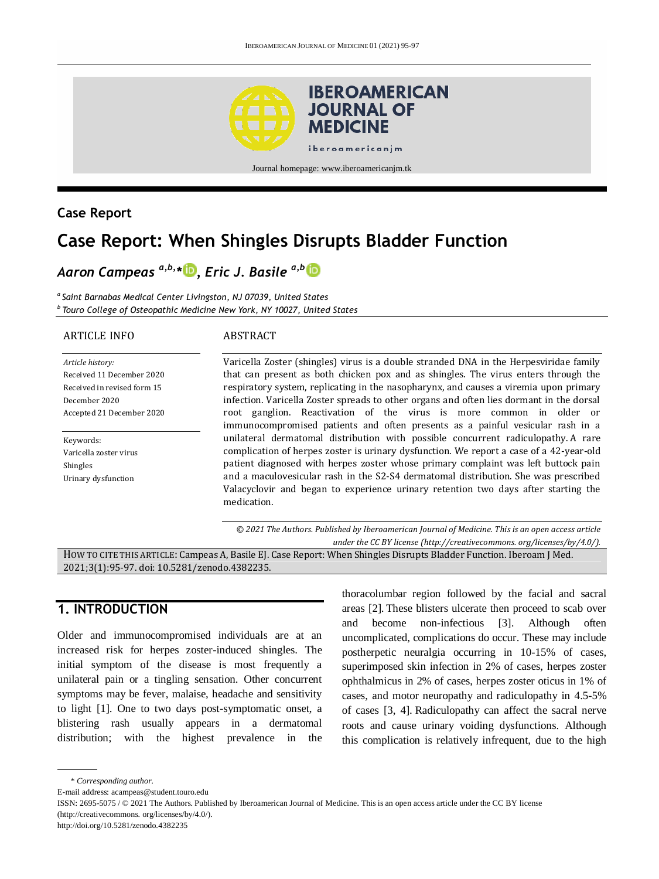

# **Case Report**

# **Case Report: When Shingles Disrupts Bladder Function**

# *Aaron Campeas a,b,\* [,](http://orcid.org/0000-0001-8618-7221) Eric J. Basile a,b*

*a Saint Barnabas Medical Center Livingston, NJ 07039, United States <sup>b</sup>Touro College of Osteopathic Medicine New York, NY 10027, United States*

#### ARTICLE INFO

#### ABSTRACT

*Article history:* Received 11 December 2020 Received in revised form 15 December 2020 Accepted 21 December 2020

Keywords: Varicella zoster virus Shingles Urinary dysfunction

Varicella Zoster (shingles) virus is a double stranded DNA in the Herpesviridae family that can present as both chicken pox and as shingles. The virus enters through the respiratory system, replicating in the nasopharynx, and causes a viremia upon primary infection. Varicella Zoster spreads to other organs and often lies dormant in the dorsal root ganglion. Reactivation of the virus is more common in older or immunocompromised patients and often presents as a painful vesicular rash in a unilateral dermatomal distribution with possible concurrent radiculopathy. A rare complication of herpes zoster is urinary dysfunction. We report a case of a 42-year-old patient diagnosed with herpes zoster whose primary complaint was left buttock pain and a maculovesicular rash in the S2-S4 dermatomal distribution. She was prescribed Valacyclovir and began to experience urinary retention two days after starting the medication.

*© 2021 The Authors. Published by Iberoamerican Journal of Medicine. This is an open access article under the CC BY license (http:/[/creativecommons. org/licenses/by/4.0/\)](https://creativecommons.org/licenses/by/4.0/).*

HOW TO CITE THIS ARTICLE: Campeas A, Basile EJ. Case Report: When Shingles Disrupts Bladder Function. Iberoam J Med. 2021;3(1):95-97. doi[: 10.5281/zenodo.4382235.](http://doi.org/10.5281/zenodo.4382235)

# **1. INTRODUCTION**

Older and immunocompromised individuals are at an increased risk for herpes zoster-induced shingles. The initial symptom of the disease is most frequently a unilateral pain or a tingling sensation. Other concurrent symptoms may be fever, malaise, headache and sensitivity to light [1]. One to two days post-symptomatic onset, a blistering rash usually appears in a dermatomal distribution; with the highest prevalence in the

thoracolumbar region followed by the facial and sacral areas [2]. These blisters ulcerate then proceed to scab over and become non-infectious [3]. Although often uncomplicated, complications do occur. These may include postherpetic neuralgia occurring in 10-15% of cases, superimposed skin infection in 2% of cases, herpes zoster ophthalmicus in 2% of cases, herpes zoster oticus in 1% of cases, and motor neuropathy and radiculopathy in 4.5-5% of cases [3, 4]. Radiculopathy can affect the sacral nerve roots and cause urinary voiding dysfunctions. Although this complication is relatively infrequent, due to the high

<sup>\*</sup> *Corresponding author.*

E-mail address: acampeas@student.touro.edu

ISSN: 2695-5075 / © 2021 The Authors. Published by Iberoamerican Journal of Medicine. This is an open access article under the CC BY license (http://creativecommons. org/licenses/by/4.0/).

http://doi.org/10.5281/zenodo.4382235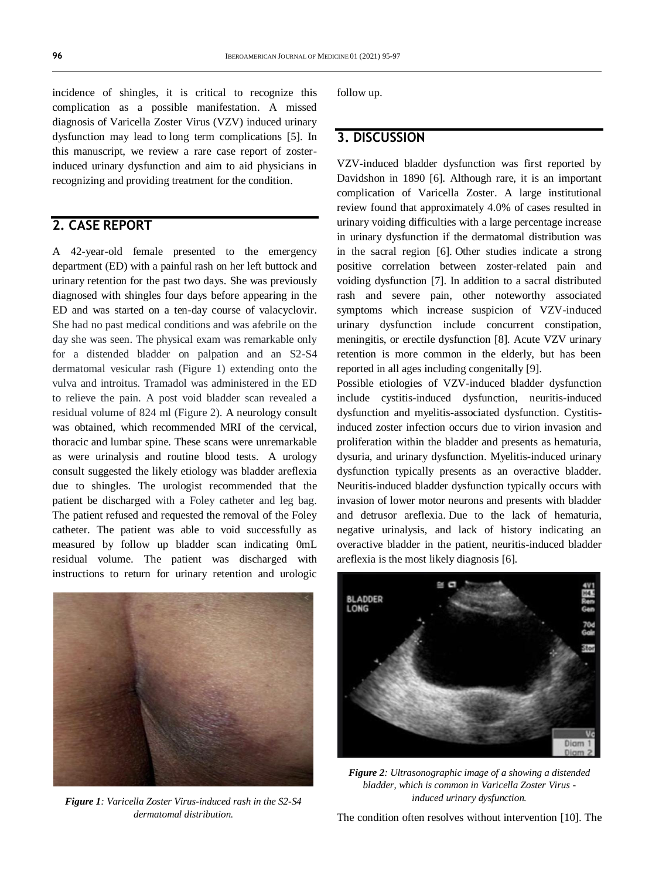incidence of shingles, it is critical to recognize this complication as a possible manifestation. A missed diagnosis of Varicella Zoster Virus (VZV) induced urinary dysfunction may lead to long term complications [5]. In this manuscript, we review a rare case report of zosterinduced urinary dysfunction and aim to aid physicians in recognizing and providing treatment for the condition.

# **2. CASE REPORT**

A 42-year-old female presented to the emergency department (ED) with a painful rash on her left buttock and urinary retention for the past two days. She was previously diagnosed with shingles four days before appearing in the ED and was started on a ten-day course of valacyclovir. She had no past medical conditions and was afebrile on the day she was seen. The physical exam was remarkable only for a distended bladder on palpation and an S2-S4 dermatomal vesicular rash (Figure 1) extending onto the vulva and introitus. Tramadol was administered in the ED to relieve the pain. A post void bladder scan revealed a residual volume of 824 ml (Figure 2). A neurology consult was obtained, which recommended MRI of the cervical, thoracic and lumbar spine. These scans were unremarkable as were urinalysis and routine blood tests. A urology consult suggested the likely etiology was bladder areflexia due to shingles. The urologist recommended that the patient be discharged with a Foley catheter and leg bag. The patient refused and requested the removal of the Foley catheter. The patient was able to void successfully as measured by follow up bladder scan indicating 0mL residual volume. The patient was discharged with instructions to return for urinary retention and urologic



*Figure 1: Varicella Zoster Virus-induced rash in the S2-S4 dermatomal distribution.*

follow up.

### **3. DISCUSSION**

VZV-induced bladder dysfunction was first reported by Davidshon in 1890 [6]. Although rare, it is an important complication of Varicella Zoster. A large institutional review found that approximately 4.0% of cases resulted in urinary voiding difficulties with a large percentage increase in urinary dysfunction if the dermatomal distribution was in the sacral region [6]. Other studies indicate a strong positive correlation between zoster-related pain and voiding dysfunction [7]. In addition to a sacral distributed rash and severe pain, other noteworthy associated symptoms which increase suspicion of VZV-induced urinary dysfunction include concurrent constipation, meningitis, or erectile dysfunction [8]. Acute VZV urinary retention is more common in the elderly, but has been reported in all ages including congenitally [9].

Possible etiologies of VZV-induced bladder dysfunction include cystitis-induced dysfunction, neuritis-induced dysfunction and myelitis-associated dysfunction. Cystitisinduced zoster infection occurs due to virion invasion and proliferation within the bladder and presents as hematuria, dysuria, and urinary dysfunction. Myelitis-induced urinary dysfunction typically presents as an overactive bladder. Neuritis-induced bladder dysfunction typically occurs with invasion of lower motor neurons and presents with bladder and detrusor areflexia. Due to the lack of hematuria, negative urinalysis, and lack of history indicating an overactive bladder in the patient, neuritis-induced bladder areflexia is the most likely diagnosis [6].



*Figure 2: Ultrasonographic image of a showing a distended bladder, which is common in Varicella Zoster Virus induced urinary dysfunction.*

The condition often resolves without intervention [10]. The